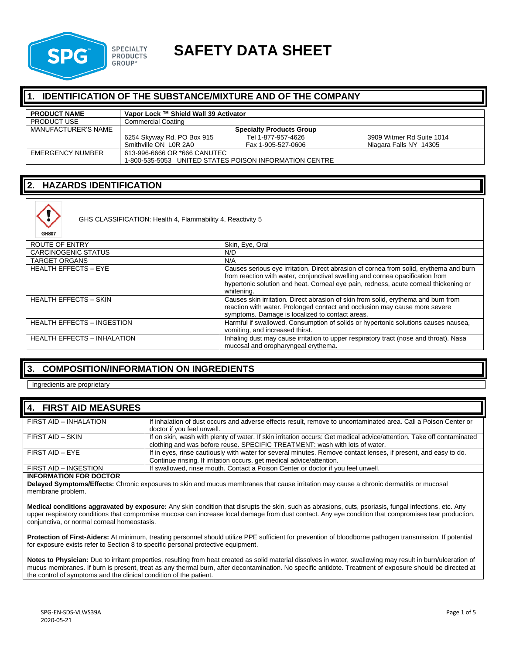

# **SPECIALTY SAFETY DATA SHEET**

#### **IDENTIFICATION OF THE SUBSTANCE/MIXTURE AND OF THE COMPANY**

| <b>PRODUCT NAME</b> | Vapor Lock ™ Shield Wall 39 Activator                  |                    |                           |
|---------------------|--------------------------------------------------------|--------------------|---------------------------|
| <b>PRODUCT USE</b>  | Commercial Coating                                     |                    |                           |
| MANUFACTURER'S NAME | <b>Specialty Products Group</b>                        |                    |                           |
|                     | 6254 Skyway Rd, PO Box 915                             | Tel 1-877-957-4626 | 3909 Witmer Rd Suite 1014 |
|                     | Smithville ON LOR 2A0                                  | Fax 1-905-527-0606 | Niagara Falls NY 14305    |
| EMERGENCY NUMBER    | 613-996-6666 OR *666 CANUTEC                           |                    |                           |
|                     | 1-800-535-5053 UNITED STATES POISON INFORMATION CENTRE |                    |                           |

#### **2. HAZARDS IDENTIFICATION**



GHS CLASSIFICATION: Health 4, Flammability 4, Reactivity 5

| ROUTE OF ENTRY                     | Skin, Eye, Oral                                                                                                                                                                                                                                                               |
|------------------------------------|-------------------------------------------------------------------------------------------------------------------------------------------------------------------------------------------------------------------------------------------------------------------------------|
| <b>CARCINOGENIC STATUS</b>         | N/D                                                                                                                                                                                                                                                                           |
| <b>TARGET ORGANS</b>               | N/A                                                                                                                                                                                                                                                                           |
| <b>HEALTH EFFECTS - EYE</b>        | Causes serious eye irritation. Direct abrasion of cornea from solid, erythema and burn<br>from reaction with water, conjunctival swelling and cornea opacification from<br>hypertonic solution and heat. Corneal eve pain, redness, acute corneal thickening or<br>whitening. |
| <b>HEALTH EFFECTS - SKIN</b>       | Causes skin irritation. Direct abrasion of skin from solid, erythema and burn from<br>reaction with water. Prolonged contact and occlusion may cause more severe<br>symptoms. Damage is localized to contact areas.                                                           |
| <b>HEALTH EFFECTS - INGESTION</b>  | Harmful if swallowed. Consumption of solids or hypertonic solutions causes nausea,<br>vomiting, and increased thirst.                                                                                                                                                         |
| <b>HEALTH EFFECTS - INHALATION</b> | Inhaling dust may cause irritation to upper respiratory tract (nose and throat). Nasa<br>mucosal and oropharyngeal erythema.                                                                                                                                                  |

### **3. COMPOSITION/INFORMATION ON INGREDIENTS**

Ingredients are proprietary

#### **4. FIRST AID MEASURES**

| FIRST AID - INHALATION | If inhalation of dust occurs and adverse effects result, remove to uncontaminated area. Call a Poison Center or<br>doctor if you feel unwell.                                                        |
|------------------------|------------------------------------------------------------------------------------------------------------------------------------------------------------------------------------------------------|
| FIRST AID - SKIN       | If on skin, wash with plenty of water. If skin irritation occurs: Get medical advice/attention. Take off contaminated<br>clothing and was before reuse. SPECIFIC TREATMENT: wash with lots of water. |
| FIRST AID - EYE        | If in eyes, rinse cautiously with water for several minutes. Remove contact lenses, if present, and easy to do.<br>Continue rinsing. If irritation occurs, get medical advice/attention.             |
| FIRST AID - INGESTION  | If swallowed, rinse mouth. Contact a Poison Center or doctor if you feel unwell.                                                                                                                     |

#### **INFORMATION FOR DOCTOR**

**Delayed Symptoms/Effects:** Chronic exposures to skin and mucus membranes that cause irritation may cause a chronic dermatitis or mucosal membrane problem.

**Medical conditions aggravated by exposure:** Any skin condition that disrupts the skin, such as abrasions, cuts, psoriasis, fungal infections, etc. Any upper respiratory conditions that compromise mucosa can increase local damage from dust contact. Any eye condition that compromises tear production, conjunctiva, or normal corneal homeostasis.

**Protection of First-Aiders:** At minimum, treating personnel should utilize PPE sufficient for prevention of bloodborne pathogen transmission. If potential for exposure exists refer to Section 8 to specific personal protective equipment.

**Notes to Physician:** Due to irritant properties, resulting from heat created as solid material dissolves in water, swallowing may result in burn/ulceration of mucus membranes. If burn is present, treat as any thermal burn, after decontamination. No specific antidote. Treatment of exposure should be directed at the control of symptoms and the clinical condition of the patient.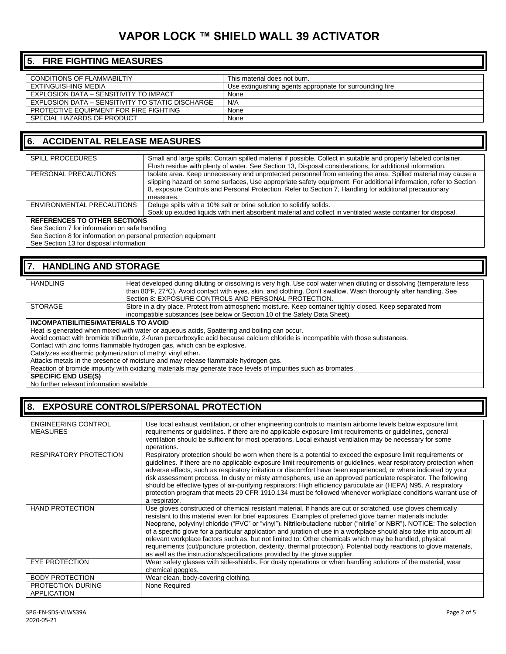#### **5. FIRE FIGHTING MEASURES**

| CONDITIONS OF FLAMMABILTIY                       | This material does not burn.                              |
|--------------------------------------------------|-----------------------------------------------------------|
| EXTINGUISHING MEDIA                              | Use extinguishing agents appropriate for surrounding fire |
| EXPLOSION DATA - SENSITIVITY TO IMPACT           | None                                                      |
| EXPLOSION DATA – SENSITIVITY TO STATIC DISCHARGE | N/A                                                       |
| PROTECTIVE EQUIPMENT FOR FIRE FIGHTING           | None                                                      |
| SPECIAL HAZARDS OF PRODUCT                       | None                                                      |

#### **6. ACCIDENTAL RELEASE MEASURES**

| <b>SPILL PROCEDURES</b>   | Small and large spills: Contain spilled material if possible. Collect in suitable and properly labeled container. |
|---------------------------|-------------------------------------------------------------------------------------------------------------------|
|                           | Flush residue with plenty of water. See Section 13, Disposal considerations, for additional information.          |
| PERSONAL PRECAUTIONS      | Isolate area. Keep unnecessary and unprotected personnel from entering the area. Spilled material may cause a     |
|                           | slipping hazard on some surfaces, Use appropriate safety equipment. For additional information, refer to Section  |
|                           | 8, exposure Controls and Personal Protection. Refer to Section 7, Handling for additional precautionary           |
|                           | measures.                                                                                                         |
| ENVIRONMENTAL PRECAUTIONS | Deluge spills with a 10% salt or brine solution to solidify solids.                                               |
|                           | Soak up exuded liquids with inert absorbent material and collect in ventilated waste container for disposal.      |
|                           |                                                                                                                   |

#### **REFERENCES TO OTHER SECTIONS**

See Section 7 for information on safe handling

See Section 8 for information on personal protection equipment

See Section 13 for disposal information

#### **7. HANDLING AND STORAGE**

| <b>HANDLING</b> | Heat developed during diluting or dissolving is very high. Use cool water when diluting or dissolving (temperature less |
|-----------------|-------------------------------------------------------------------------------------------------------------------------|
|                 | than 80°F, 27°C). Avoid contact with eyes, skin, and clothing. Don't swallow. Wash thoroughly after handling. See       |
|                 | Section 8: EXPOSURE CONTROLS AND PERSONAL PROTECTION.                                                                   |
| <b>STORAGE</b>  | Store in a dry place. Protect from atmospheric moisture. Keep container tightly closed. Keep separated from             |
|                 | incompatible substances (see below or Section 10 of the Safety Data Sheet).                                             |

#### **INCOMPATIBILITIES/MATERIALS TO AVOID**

Heat is generated when mixed with water or aqueous acids, Spattering and boiling can occur.

Avoid contact with bromide trifluoride, 2-furan percarboxylic acid because calcium chloride is incompatible with those substances.

Contact with zinc forms flammable hydrogen gas, which can be explosive.

Catalyzes exothermic polymerization of methyl vinyl ether.

Attacks metals in the presence of moisture and may release flammable hydrogen gas.

Reaction of bromide impurity with oxidizing materials may generate trace levels of impurities such as bromates.

**SPECIFIC END USE(S)** 

No further relevant information available

### **8. EXPOSURE CONTROLS/PERSONAL PROTECTION**

| <b>ENGINEERING CONTROL</b><br><b>MEASURES</b> | Use local exhaust ventilation, or other engineering controls to maintain airborne levels below exposure limit<br>requirements or quidelines. If there are no applicable exposure limit requirements or quidelines, general<br>ventilation should be sufficient for most operations. Local exhaust ventilation may be necessary for some<br>operations.                                                                                                                                                                                                                                                                                                                                                                                                                                     |
|-----------------------------------------------|--------------------------------------------------------------------------------------------------------------------------------------------------------------------------------------------------------------------------------------------------------------------------------------------------------------------------------------------------------------------------------------------------------------------------------------------------------------------------------------------------------------------------------------------------------------------------------------------------------------------------------------------------------------------------------------------------------------------------------------------------------------------------------------------|
| RESPIRATORY PROTECTION                        | Respiratory protection should be worn when there is a potential to exceed the exposure limit requirements or<br>guidelines. If there are no applicable exposure limit requirements or guidelines, wear respiratory protection when<br>adverse effects, such as respiratory irritation or discomfort have been experienced, or where indicated by your<br>risk assessment process. In dusty or misty atmospheres, use an approved particulate respirator. The following<br>should be effective types of air-purifying respirators: High efficiency particulate air (HEPA) N95. A respiratory<br>protection program that meets 29 CFR 1910.134 must be followed whenever workplace conditions warrant use of<br>a respirator.                                                                |
| <b>HAND PROTECTION</b>                        | Use gloves constructed of chemical resistant material. If hands are cut or scratched, use gloves chemically<br>resistant to this material even for brief exposures. Examples of preferred glove barrier materials include:<br>Neoprene, polyvinyl chloride ("PVC" or "vinyl"). Nitrile/butadiene rubber ("nitrile" or NBR"). NOTICE: The selection<br>of a specific glove for a particular application and juration of use in a workplace should also take into account all<br>relevant workplace factors such as, but not limited to: Other chemicals which may be handled, physical<br>requirements (cut/puncture protection, dexterity, thermal protection). Potential body reactions to glove materials,<br>as well as the instructions/specifications provided by the glove supplier. |
| <b>EYE PROTECTION</b>                         | Wear safety glasses with side-shields. For dusty operations or when handling solutions of the material, wear<br>chemical goggles.                                                                                                                                                                                                                                                                                                                                                                                                                                                                                                                                                                                                                                                          |
| <b>BODY PROTECTION</b>                        | Wear clean, body-covering clothing.                                                                                                                                                                                                                                                                                                                                                                                                                                                                                                                                                                                                                                                                                                                                                        |
| PROTECTION DURING<br><b>APPLICATION</b>       | None Required                                                                                                                                                                                                                                                                                                                                                                                                                                                                                                                                                                                                                                                                                                                                                                              |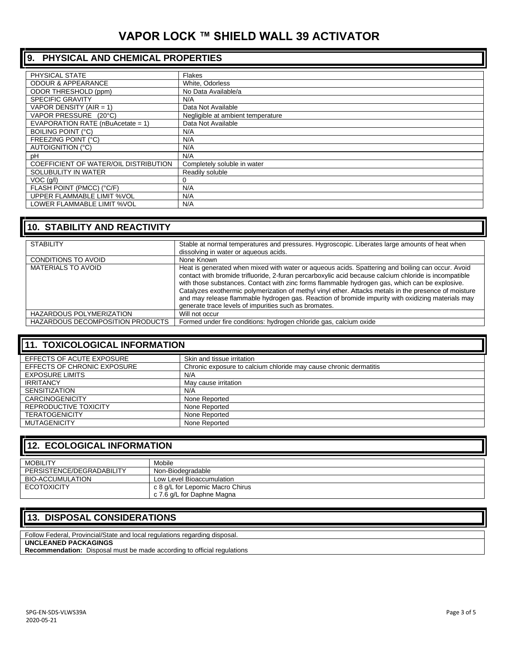## **9. PHYSICAL AND CHEMICAL PROPERTIES**

| PHYSICAL STATE                        | <b>Flakes</b>                     |
|---------------------------------------|-----------------------------------|
| <b>ODOUR &amp; APPEARANCE</b>         | White, Odorless                   |
| <b>ODOR THRESHOLD (ppm)</b>           | No Data Available/a               |
| <b>SPECIFIC GRAVITY</b>               | N/A                               |
| VAPOR DENSITY (AIR = 1)               | Data Not Available                |
| VAPOR PRESSURE (20°C)                 | Negligible at ambient temperature |
| EVAPORATION RATE (nBuAcetate = 1)     | Data Not Available                |
| <b>BOILING POINT (°C)</b>             | N/A                               |
| <b>FREEZING POINT (°C)</b>            | N/A                               |
| AUTOIGNITION (°C)                     | N/A                               |
| рH                                    | N/A                               |
| COEFFICIENT OF WATER/OIL DISTRIBUTION | Completely soluble in water       |
| SOLUBULITY IN WATER                   | Readily soluble                   |
| $VOC$ (g/l)                           |                                   |
| FLASH POINT (PMCC) (°C/F)             | N/A                               |
| UPPER FLAMMABLE LIMIT %VOL            | N/A                               |
| LOWER FLAMMABLE LIMIT %VOL            | N/A                               |

| <b>10. STABILITY AND REACTIVITY</b>     |                                                                                                                                                                                                                                                                                                                                                                                                                                                                                                                                                                                     |
|-----------------------------------------|-------------------------------------------------------------------------------------------------------------------------------------------------------------------------------------------------------------------------------------------------------------------------------------------------------------------------------------------------------------------------------------------------------------------------------------------------------------------------------------------------------------------------------------------------------------------------------------|
| <b>STABILITY</b>                        | Stable at normal temperatures and pressures. Hygroscopic. Liberates large amounts of heat when<br>dissolving in water or aqueous acids.                                                                                                                                                                                                                                                                                                                                                                                                                                             |
| <b>CONDITIONS TO AVOID</b>              | None Known                                                                                                                                                                                                                                                                                                                                                                                                                                                                                                                                                                          |
| <b>MATERIALS TO AVOID</b>               | Heat is generated when mixed with water or aqueous acids. Spattering and boiling can occur. Avoid<br>contact with bromide trifluoride, 2-furan percarboxylic acid because calcium chloride is incompatible<br>with those substances. Contact with zinc forms flammable hydrogen gas, which can be explosive.<br>Catalyzes exothermic polymerization of methyl vinyl ether. Attacks metals in the presence of moisture<br>and may release flammable hydrogen gas. Reaction of bromide impurity with oxidizing materials may<br>generate trace levels of impurities such as bromates. |
| <b>HAZARDOUS POLYMERIZATION</b>         | Will not occur                                                                                                                                                                                                                                                                                                                                                                                                                                                                                                                                                                      |
| <b>HAZARDOUS DECOMPOSITION PRODUCTS</b> | Formed under fire conditions: hydrogen chloride gas, calcium oxide                                                                                                                                                                                                                                                                                                                                                                                                                                                                                                                  |

## **11. TOXICOLOGICAL INFORMATION**

| EFFECTS OF ACUTE EXPOSURE   | Skin and tissue irritation                                        |
|-----------------------------|-------------------------------------------------------------------|
| EFFECTS OF CHRONIC EXPOSURE | Chronic exposure to calcium chloride may cause chronic dermatitis |
| <b>EXPOSURE LIMITS</b>      | N/A                                                               |
| <b>IRRITANCY</b>            | May cause irritation                                              |
| <b>SENSITIZATION</b>        | N/A                                                               |
| <b>CARCINOGENICITY</b>      | None Reported                                                     |
| REPRODUCTIVE TOXICITY       | None Reported                                                     |
| <b>TERATOGENICITY</b>       | None Reported                                                     |
| MUTAGENICITY                | None Reported                                                     |

| <b>12. ECOLOGICAL INFORMATION</b> |                                                                |
|-----------------------------------|----------------------------------------------------------------|
| <b>MOBILITY</b>                   | Mobile                                                         |
| PERSISTENCE/DEGRADABILITY         | Non-Biodegradable                                              |
| BIO-ACCUMULATION                  | Low Level Bioaccumulation                                      |
| <b>ECOTOXICITY</b>                | c 8 g/L for Lepomic Macro Chirus<br>c 7.6 g/L for Daphne Magna |

### **13. DISPOSAL CONSIDERATIONS**

Follow Federal, Provincial/State and local regulations regarding disposal. **UNCLEANED PACKAGINGS**

**Recommendation:** Disposal must be made according to official regulations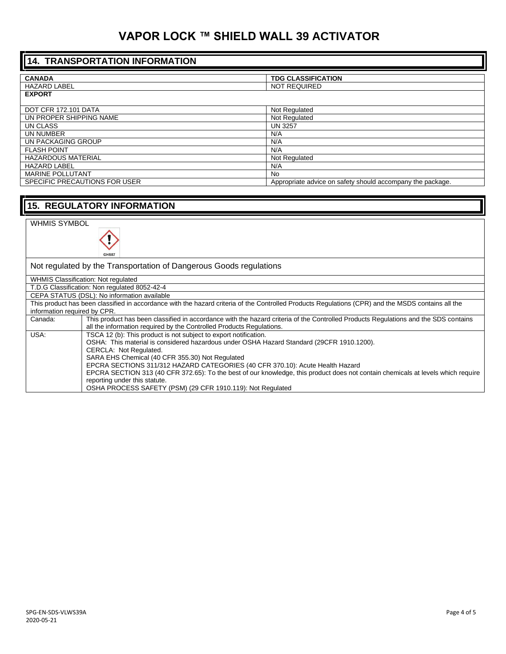| <b>14. TRANSPORTATION INFORMATION</b> |                                                            |
|---------------------------------------|------------------------------------------------------------|
|                                       |                                                            |
| <b>CANADA</b>                         | <b>TDG CLASSIFICATION</b>                                  |
| <b>HAZARD LABEL</b>                   | <b>NOT REQUIRED</b>                                        |
| <b>EXPORT</b>                         |                                                            |
| <b>DOT CFR 172.101 DATA</b>           | Not Regulated                                              |
| UN PROPER SHIPPING NAME               | Not Regulated                                              |
| UN CLASS                              | <b>UN 3257</b>                                             |
| UN NUMBER                             | N/A                                                        |
| UN PACKAGING GROUP                    | N/A                                                        |
| <b>FLASH POINT</b>                    | N/A                                                        |
| <b>HAZARDOUS MATERIAL</b>             | Not Regulated                                              |
| <b>HAZARD LABEL</b>                   | N/A                                                        |
| <b>MARINE POLLUTANT</b>               | <b>No</b>                                                  |
| SPECIFIC PRECAUTIONS FOR USER         | Appropriate advice on safety should accompany the package. |
|                                       |                                                            |
| <b>15. REGULATORY INFORMATION</b>     |                                                            |
|                                       |                                                            |
| <b>WHMIS SYMBOL</b><br><b>A</b>       |                                                            |

Not regulated by the Transportation of Dangerous Goods regulations

WHMIS Classification: Not regulated T.D.G Classification: Non regulated 8052-42-4

CEPA STATUS (DSL): No information available

y GHS07

|                              | OLI A UTATUU (DUL). TYÖ IIIIUIIII&KUI AVAIIADIO                                                                                                    |
|------------------------------|----------------------------------------------------------------------------------------------------------------------------------------------------|
|                              | This product has been classified in accordance with the hazard criteria of the Controlled Products Regulations (CPR) and the MSDS contains all the |
| information required by CPR. |                                                                                                                                                    |
| Canada:                      | This product has been classified in accordance with the hazard criteria of the Controlled Products Regulations and the SDS contains                |
|                              | all the information required by the Controlled Products Regulations.                                                                               |
| USA:                         | TSCA 12 (b): This product is not subject to export notification.                                                                                   |
|                              | OSHA: This material is considered hazardous under OSHA Hazard Standard (29CFR 1910.1200).                                                          |
|                              | CERCLA: Not Regulated.                                                                                                                             |
|                              | SARA EHS Chemical (40 CFR 355.30) Not Regulated                                                                                                    |
|                              | EPCRA SECTIONS 311/312 HAZARD CATEGORIES (40 CFR 370.10): Acute Health Hazard                                                                      |

EPCRA SECTION 313 (40 CFR 372.65): To the best of our knowledge, this product does not contain chemicals at levels which require reporting under this statute. OSHA PROCESS SAFETY (PSM) (29 CFR 1910.119): Not Regulated